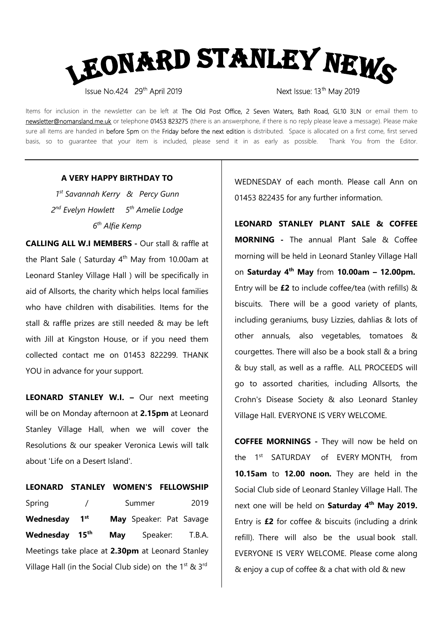

Items for inclusion in the newsletter can be left at The Old Post Office, 2 Seven Waters, Bath Road, GL10 3LN or email them to newsletter@nomansland.me.uk or telephone 01453 823275 (there is an answerphone, if there is no reply please leave a message). Please make sure all items are handed in before 5pm on the Friday before the next edition is distributed. Space is allocated on a first come, first served basis, so to guarantee that your item is included, please send it in as early as possible. Thank You from the Editor.

## A VERY HAPPY BIRTHDAY TO

1<sup>st</sup> Savannah Kerry & Percy Gunn 2<sup>nd</sup> Evelyn Howlett 5<sup>th</sup> Amelie Lodge 6<sup>th</sup> Alfie Kemp

CALLING ALL W.I MEMBERS - Our stall & raffle at the Plant Sale ( Saturday  $4<sup>th</sup>$  May from 10.00am at Leonard Stanley Village Hall ) will be specifically in aid of Allsorts, the charity which helps local families who have children with disabilities. Items for the stall & raffle prizes are still needed & may be left with Jill at Kingston House, or if you need them collected contact me on 01453 822299. THANK YOU in advance for your support.

LEONARD STANLEY W.I. – Our next meeting will be on Monday afternoon at 2.15pm at Leonard Stanley Village Hall, when we will cover the Resolutions & our speaker Veronica Lewis will talk about 'Life on a Desert Island'.

## LEONARD STANLEY WOMEN'S FELLOWSHIP

Spring / Summer 2019 Wednesday 1<sup>st</sup> May Speaker: Pat Savage Wednesday 15<sup>th</sup> May Speaker: T.B.A. Meetings take place at 2.30pm at Leonard Stanley Village Hall (in the Social Club side) on the  $1^{st}$  &  $3^{rd}$  WEDNESDAY of each month. Please call Ann on 01453 822435 for any further information.

LEONARD STANLEY PLANT SALE & COFFEE MORNING - The annual Plant Sale & Coffee morning will be held in Leonard Stanley Village Hall on Saturday  $4<sup>th</sup>$  May from 10.00am - 12.00pm. Entry will be  $£2$  to include coffee/tea (with refills) & biscuits. There will be a good variety of plants, including geraniums, busy Lizzies, dahlias & lots of other annuals, also vegetables, tomatoes & courgettes. There will also be a book stall & a bring & buy stall, as well as a raffle. ALL PROCEEDS will go to assorted charities, including Allsorts, the Crohn's Disease Society & also Leonard Stanley Village Hall. EVERYONE IS VERY WELCOME.

COFFEE MORNINGS - They will now be held on the 1<sup>st</sup> SATURDAY of EVERY MONTH, from 10.15am to 12.00 noon. They are held in the Social Club side of Leonard Stanley Village Hall. The next one will be held on Saturday 4<sup>th</sup> May 2019. Entry is  $£2$  for coffee  $&$  biscuits (including a drink refill). There will also be the usual book stall. EVERYONE IS VERY WELCOME. Please come along & enjoy a cup of coffee & a chat with old & new